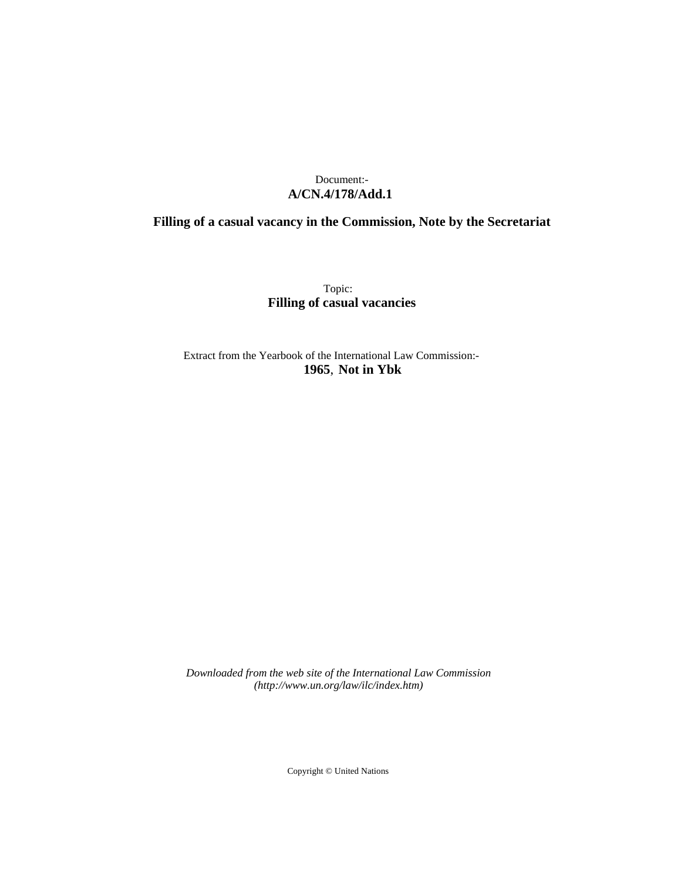# Document:- **A/CN.4/178/Add.1**

# **Filling of a casual vacancy in the Commission, Note by the Secretariat**

Topic: **Filling of casual vacancies**

Extract from the Yearbook of the International Law Commission:- **1965**, **Not in Ybk**

*Downloaded from the web site of the International Law Commission (http://www.un.org/law/ilc/index.htm)*

Copyright © United Nations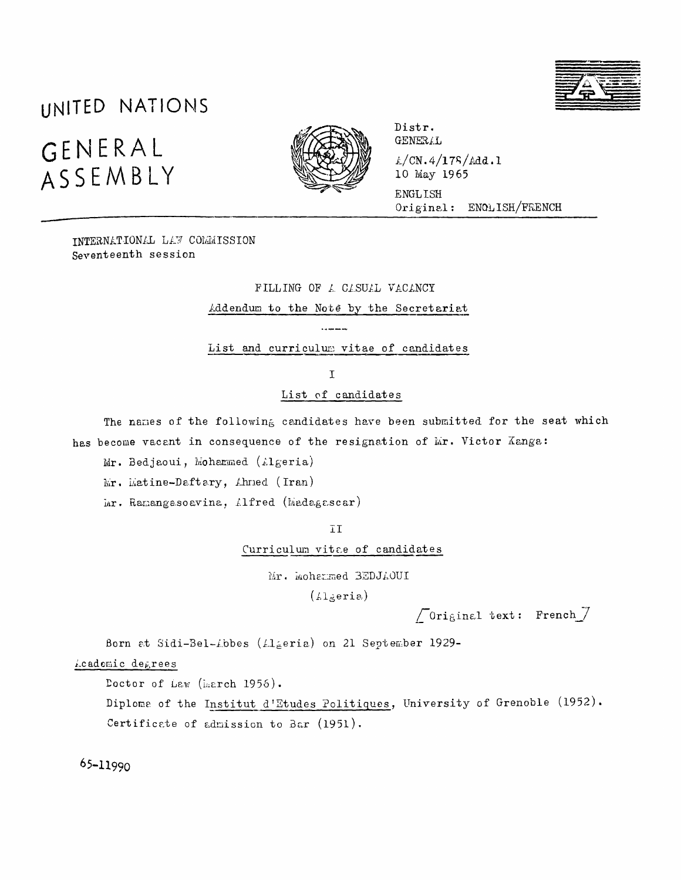# UNITED NATIONS GENERAL ASSEMBLY



Distr. **GENERAL**  $L/CN.4/175/Add.1$ 10 May 1965 **ENGLISH** Original: ENOLISH/FRENCH

**INTERNATIONAL LAW COMMISSION** Seventeenth session

> FILLING OF A CASUAL VACANCY Addendum to the Note by the Secretariat

List and curriculum vitae of candidates

 $\overline{1}$ 

List of candidates

The names of the following candidates have been submitted for the seat which has become vacant in consequence of the resignation of Mr. Victor Kanga:

Mr. Bedjaoui, Mohammed (Algeria)

Mr. Matine-Daftary, Ahned (Iran)

Mr. Ramangasoavina, Alfred (Madagascar)

īΙ

Curriculum vitae of candidates

Mr. Mohammed BEDJAOUI

 $(Lleria)$ 

 $\sqrt{0}$ riginal text: French $\sqrt{2}$ 

Born at Sidi-Bel-Abbes (Algeria) on 21 September 1929-

Academic degrees

Doctor of Law (Larch 1956).

Diploma of the Institut d'Etudes Politiques, University of Grenoble (1952). Certificate of admission to Bar (1951).

65-11990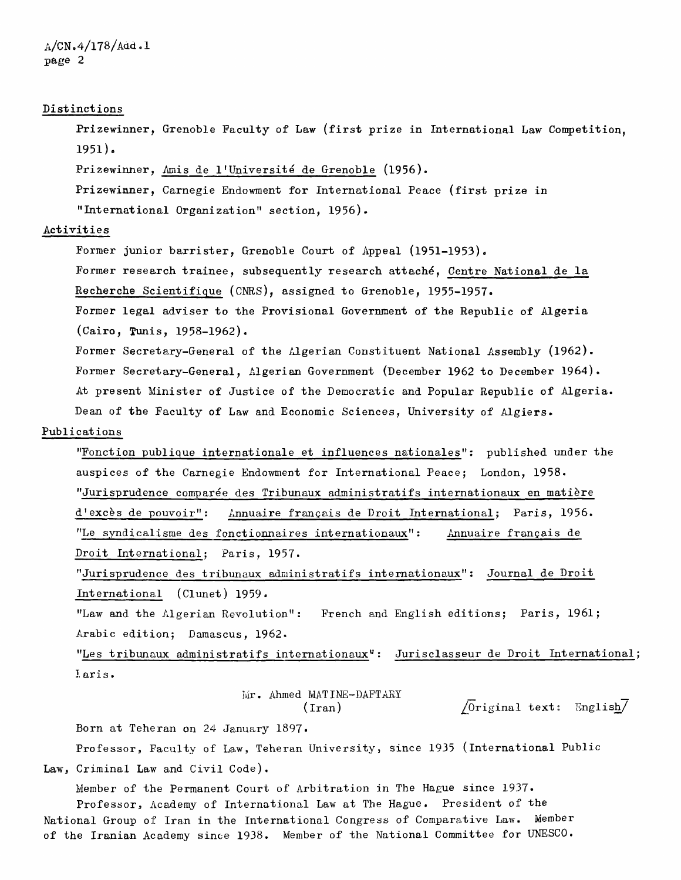## Distinctions

Prizewinner, Grenoble Faculty of Law (first prize in International Law Competition, 1951),

Prizewinner, Amis de l'Université de Grenoble (1956).

Prizewinner, Carnegie Endowment for International Peace (first prize in "International Organization" section, 1956).

#### Activities

Former junior barrister, Grenoble Court of Appeal (1951-1953). Former research trainee, subsequently research attaché, Centre National de la Recherche Scientifique (CNRS), assigned to Grenoble, 1955-1957. Former legal adviser to the Provisional Government of the Republic of Algeria (Cairo, Tunis, 1958-1962).

Former Secretary-General of the Algerian Constituent National Assembly (1962). Former Secretary-General, Algerian Government (December 1962 to December 1964). At present Minister of Justice of the Democratic and Popular Republic of Algeria. Dean of the Faculty of Law and Economic Sciences, University of Algiers.

#### Publications

"Fonction publique internationale et influences nationales": published under the auspices of the Carnegie Endowment for International Peace; London, 1958. "Jurisprudence comparée des Tribunaux administratifs internationaux en matière d'excès de pouvoir": Annuaire français de Droit International; Paris, 1956. "Le syndicalisme des fonctionnaires internationaux": Annuaire français de Droit International; Paris, 1957.

"Jurisprudence des tribunaux administratifs internationaux": Journal de Droit International (Clunet) 1959.

"Law and the Algerian Revolution": French and English editions; Paris, 1961; Arabic edition; Damascus, 1962.

"Les tribunaux administratifs internationaux": Jurisclasseur de Droit International; Iaris.

 $Mr.$  Ahmed MATINE-DAFTARY<br>(Iran)

 $\sqrt{0}$ riginal text: English $\overline{7}$ 

Born at Teheran on 24 January 1897.

Professor, Faculty of Law, Teheran University, since 1935 (International Public Law, Criminal Law and Civil Code).

Member of the Permanent Court of Arbitration in The Hague since 1937. Professor, Academy of International Law at The Hague. President of the National Group of Iran in the International Congress of Comparative Law. Member of the Iranian Academy since 1938. Member of the National Committee for UNESCO.